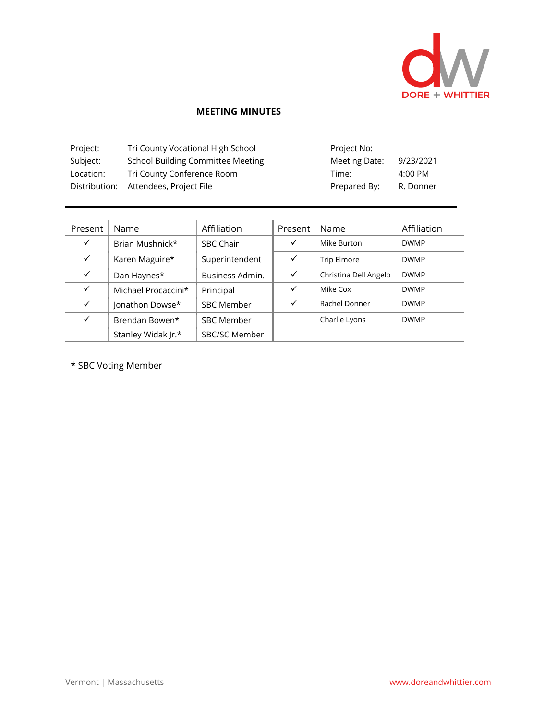

## **MEETING MINUTES**

| Project:  | Tri County Vocational High School        | Project No:   |           |
|-----------|------------------------------------------|---------------|-----------|
| Subject:  | <b>School Building Committee Meeting</b> | Meeting Date: | 9/23/2021 |
| Location: | Tri County Conference Room               | Time:         | 4:00 PM   |
|           | Distribution: Attendees, Project File    | Prepared By:  | R. Donner |

| Present      | Name                | Affiliation       | Present      | Name                  | Affiliation |
|--------------|---------------------|-------------------|--------------|-----------------------|-------------|
| ✓            | Brian Mushnick*     | <b>SBC Chair</b>  | ✓            | Mike Burton           | <b>DWMP</b> |
| ✓            | Karen Maguire*      | Superintendent    | $\checkmark$ | Trip Elmore           | <b>DWMP</b> |
| ✓            | Dan Haynes*         | Business Admin.   | $\checkmark$ | Christina Dell Angelo | <b>DWMP</b> |
| $\checkmark$ | Michael Procaccini* | Principal         | $\checkmark$ | Mike Cox              | <b>DWMP</b> |
| $\checkmark$ | Jonathon Dowse*     | <b>SBC Member</b> | ✓            | Rachel Donner         | <b>DWMP</b> |
| $\checkmark$ | Brendan Bowen*      | <b>SBC Member</b> |              | Charlie Lyons         | <b>DWMP</b> |
|              | Stanley Widak Jr.*  | SBC/SC Member     |              |                       |             |

\* SBC Voting Member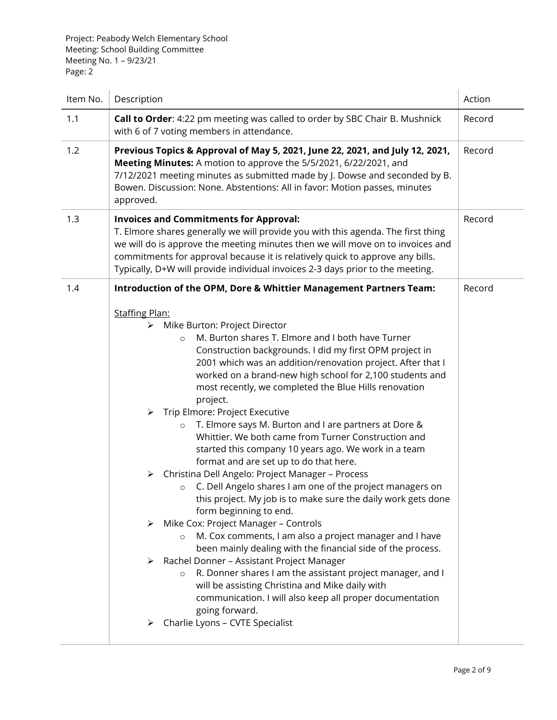Project: Peabody Welch Elementary School Meeting: School Building Committee Meeting No. 1 – 9/23/21 Page: 2

| Item No. | Description                                                                                                                                                                                                                                                                                                                                                                                                                                                                                                                                                                                                                                                                                                                                                                                                                                                                                                                                                                                                                                                                                                                                                                                                                                                                                                                                                                                                                                    | Action |
|----------|------------------------------------------------------------------------------------------------------------------------------------------------------------------------------------------------------------------------------------------------------------------------------------------------------------------------------------------------------------------------------------------------------------------------------------------------------------------------------------------------------------------------------------------------------------------------------------------------------------------------------------------------------------------------------------------------------------------------------------------------------------------------------------------------------------------------------------------------------------------------------------------------------------------------------------------------------------------------------------------------------------------------------------------------------------------------------------------------------------------------------------------------------------------------------------------------------------------------------------------------------------------------------------------------------------------------------------------------------------------------------------------------------------------------------------------------|--------|
| 1.1      | Call to Order: 4:22 pm meeting was called to order by SBC Chair B. Mushnick<br>with 6 of 7 voting members in attendance.                                                                                                                                                                                                                                                                                                                                                                                                                                                                                                                                                                                                                                                                                                                                                                                                                                                                                                                                                                                                                                                                                                                                                                                                                                                                                                                       | Record |
| 1.2      | Previous Topics & Approval of May 5, 2021, June 22, 2021, and July 12, 2021,<br>Meeting Minutes: A motion to approve the 5/5/2021, 6/22/2021, and<br>7/12/2021 meeting minutes as submitted made by J. Dowse and seconded by B.<br>Bowen. Discussion: None. Abstentions: All in favor: Motion passes, minutes<br>approved.                                                                                                                                                                                                                                                                                                                                                                                                                                                                                                                                                                                                                                                                                                                                                                                                                                                                                                                                                                                                                                                                                                                     | Record |
| 1.3      | <b>Invoices and Commitments for Approval:</b><br>T. Elmore shares generally we will provide you with this agenda. The first thing<br>we will do is approve the meeting minutes then we will move on to invoices and<br>commitments for approval because it is relatively quick to approve any bills.<br>Typically, D+W will provide individual invoices 2-3 days prior to the meeting.                                                                                                                                                                                                                                                                                                                                                                                                                                                                                                                                                                                                                                                                                                                                                                                                                                                                                                                                                                                                                                                         | Record |
| 1.4      | Introduction of the OPM, Dore & Whittier Management Partners Team:<br><b>Staffing Plan:</b><br>Mike Burton: Project Director<br>➤<br>M. Burton shares T. Elmore and I both have Turner<br>$\Omega$<br>Construction backgrounds. I did my first OPM project in<br>2001 which was an addition/renovation project. After that I<br>worked on a brand-new high school for 2,100 students and<br>most recently, we completed the Blue Hills renovation<br>project.<br>Trip Elmore: Project Executive<br>➤<br>T. Elmore says M. Burton and I are partners at Dore &<br>$\circ$<br>Whittier. We both came from Turner Construction and<br>started this company 10 years ago. We work in a team<br>format and are set up to do that here.<br>Christina Dell Angelo: Project Manager - Process<br>➤<br>C. Dell Angelo shares I am one of the project managers on<br>$\circ$<br>this project. My job is to make sure the daily work gets done<br>form beginning to end.<br>Mike Cox: Project Manager - Controls<br>➤<br>M. Cox comments, I am also a project manager and I have<br>$\circ$<br>been mainly dealing with the financial side of the process.<br>Rachel Donner - Assistant Project Manager<br>➤<br>R. Donner shares I am the assistant project manager, and I<br>$\circ$<br>will be assisting Christina and Mike daily with<br>communication. I will also keep all proper documentation<br>going forward.<br>Charlie Lyons - CVTE Specialist | Record |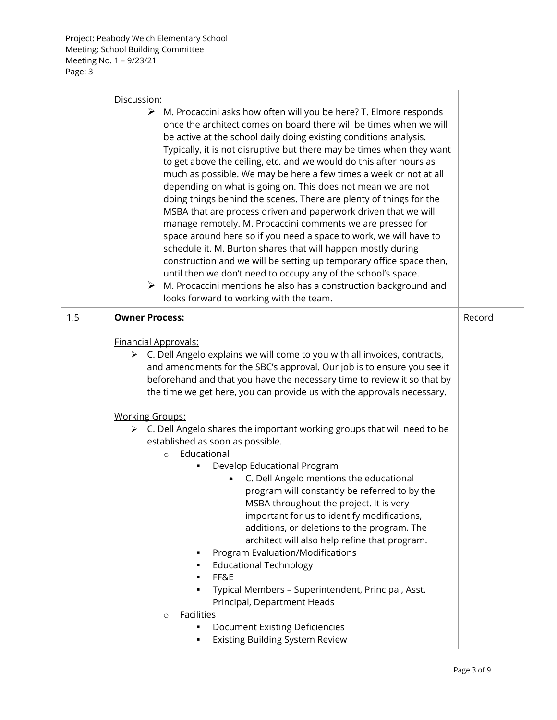|     | Discussion:                                                                                                                                                                                                                                                                                                                                                                                                                                                                                                                                                                                                                                                                                                                                                                                                                                                                                                                                                                                                                                                                                                                          |        |
|-----|--------------------------------------------------------------------------------------------------------------------------------------------------------------------------------------------------------------------------------------------------------------------------------------------------------------------------------------------------------------------------------------------------------------------------------------------------------------------------------------------------------------------------------------------------------------------------------------------------------------------------------------------------------------------------------------------------------------------------------------------------------------------------------------------------------------------------------------------------------------------------------------------------------------------------------------------------------------------------------------------------------------------------------------------------------------------------------------------------------------------------------------|--------|
|     | $\triangleright$ M. Procaccini asks how often will you be here? T. Elmore responds<br>once the architect comes on board there will be times when we will<br>be active at the school daily doing existing conditions analysis.<br>Typically, it is not disruptive but there may be times when they want<br>to get above the ceiling, etc. and we would do this after hours as<br>much as possible. We may be here a few times a week or not at all<br>depending on what is going on. This does not mean we are not<br>doing things behind the scenes. There are plenty of things for the<br>MSBA that are process driven and paperwork driven that we will<br>manage remotely. M. Procaccini comments we are pressed for<br>space around here so if you need a space to work, we will have to<br>schedule it. M. Burton shares that will happen mostly during<br>construction and we will be setting up temporary office space then,<br>until then we don't need to occupy any of the school's space.<br>$\triangleright$ M. Procaccini mentions he also has a construction background and<br>looks forward to working with the team. |        |
| 1.5 | <b>Owner Process:</b>                                                                                                                                                                                                                                                                                                                                                                                                                                                                                                                                                                                                                                                                                                                                                                                                                                                                                                                                                                                                                                                                                                                | Record |
|     | <b>Financial Approvals:</b><br>$\triangleright$ C. Dell Angelo explains we will come to you with all invoices, contracts,<br>and amendments for the SBC's approval. Our job is to ensure you see it<br>beforehand and that you have the necessary time to review it so that by<br>the time we get here, you can provide us with the approvals necessary.<br><b>Working Groups:</b><br>$\triangleright$ C. Dell Angelo shares the important working groups that will need to be<br>established as soon as possible.<br>Educational<br>$\circ$<br>Develop Educational Program<br>C. Dell Angelo mentions the educational<br>program will constantly be referred to by the<br>MSBA throughout the project. It is very<br>important for us to identify modifications,<br>additions, or deletions to the program. The<br>architect will also help refine that program.<br>Program Evaluation/Modifications<br><b>Educational Technology</b>                                                                                                                                                                                               |        |
|     | FF&E<br>٠<br>Typical Members - Superintendent, Principal, Asst.<br>$\blacksquare$                                                                                                                                                                                                                                                                                                                                                                                                                                                                                                                                                                                                                                                                                                                                                                                                                                                                                                                                                                                                                                                    |        |
|     | Principal, Department Heads                                                                                                                                                                                                                                                                                                                                                                                                                                                                                                                                                                                                                                                                                                                                                                                                                                                                                                                                                                                                                                                                                                          |        |
|     | <b>Facilities</b><br>$\circ$<br><b>Document Existing Deficiencies</b><br>٠                                                                                                                                                                                                                                                                                                                                                                                                                                                                                                                                                                                                                                                                                                                                                                                                                                                                                                                                                                                                                                                           |        |
|     | Existing Building System Review<br>٠                                                                                                                                                                                                                                                                                                                                                                                                                                                                                                                                                                                                                                                                                                                                                                                                                                                                                                                                                                                                                                                                                                 |        |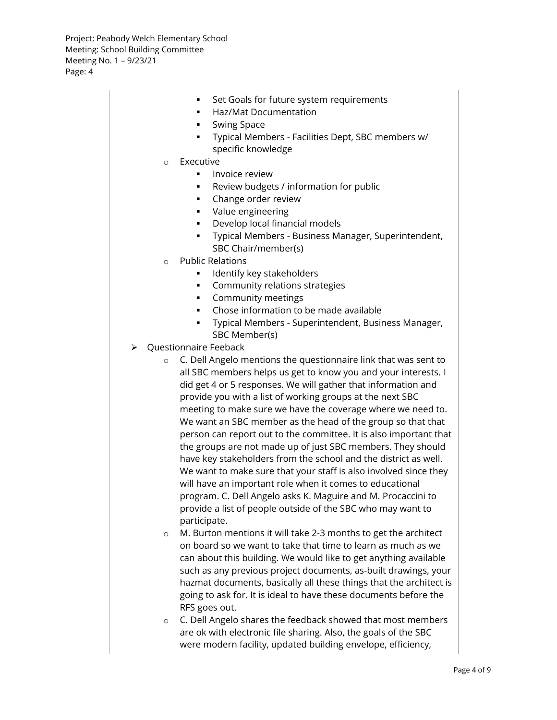| Set Goals for future system requirements                                                                                        |  |
|---------------------------------------------------------------------------------------------------------------------------------|--|
| Haz/Mat Documentation                                                                                                           |  |
| <b>Swing Space</b><br>٠                                                                                                         |  |
| Typical Members - Facilities Dept, SBC members w/                                                                               |  |
| specific knowledge                                                                                                              |  |
| Executive<br>$\circ$                                                                                                            |  |
| Invoice review<br>٠                                                                                                             |  |
| Review budgets / information for public                                                                                         |  |
| Change order review<br>٠                                                                                                        |  |
| Value engineering<br>٠                                                                                                          |  |
| Develop local financial models                                                                                                  |  |
| Typical Members - Business Manager, Superintendent,                                                                             |  |
| SBC Chair/member(s)                                                                                                             |  |
| <b>Public Relations</b><br>$\circ$                                                                                              |  |
| Identify key stakeholders                                                                                                       |  |
| Community relations strategies                                                                                                  |  |
| Community meetings<br>٠                                                                                                         |  |
| Chose information to be made available<br>٠                                                                                     |  |
| Typical Members - Superintendent, Business Manager,                                                                             |  |
| SBC Member(s)                                                                                                                   |  |
| ▶ Questionnaire Feeback                                                                                                         |  |
| C. Dell Angelo mentions the questionnaire link that was sent to<br>$\circ$                                                      |  |
| all SBC members helps us get to know you and your interests. I<br>did get 4 or 5 responses. We will gather that information and |  |
| provide you with a list of working groups at the next SBC                                                                       |  |
| meeting to make sure we have the coverage where we need to.                                                                     |  |
| We want an SBC member as the head of the group so that that                                                                     |  |
| person can report out to the committee. It is also important that                                                               |  |
| the groups are not made up of just SBC members. They should                                                                     |  |
| have key stakeholders from the school and the district as well.                                                                 |  |
| We want to make sure that your staff is also involved since they                                                                |  |
| will have an important role when it comes to educational                                                                        |  |
| program. C. Dell Angelo asks K. Maguire and M. Procaccini to                                                                    |  |
| provide a list of people outside of the SBC who may want to                                                                     |  |
| participate.                                                                                                                    |  |
| M. Burton mentions it will take 2-3 months to get the architect<br>$\circ$                                                      |  |
| on board so we want to take that time to learn as much as we                                                                    |  |
| can about this building. We would like to get anything available                                                                |  |
| such as any previous project documents, as-built drawings, your                                                                 |  |
| hazmat documents, basically all these things that the architect is                                                              |  |
| going to ask for. It is ideal to have these documents before the                                                                |  |
| RFS goes out.                                                                                                                   |  |
| C. Dell Angelo shares the feedback showed that most members<br>$\circ$                                                          |  |
| are ok with electronic file sharing. Also, the goals of the SBC                                                                 |  |
| were modern facility, updated building envelope, efficiency,                                                                    |  |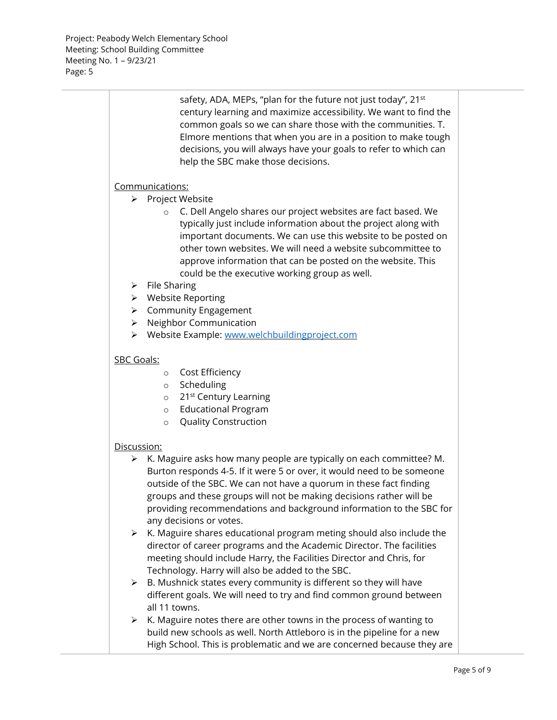Project: Peabody Welch Elementary School Meeting: School Building Committee Meeting No. 1 – 9/23/21 Page: 5

|             | safety, ADA, MEPs, "plan for the future not just today", 21 <sup>st</sup><br>century learning and maximize accessibility. We want to find the<br>common goals so we can share those with the communities. T.<br>Elmore mentions that when you are in a position to make tough<br>decisions, you will always have your goals to refer to which can<br>help the SBC make those decisions.      |
|-------------|----------------------------------------------------------------------------------------------------------------------------------------------------------------------------------------------------------------------------------------------------------------------------------------------------------------------------------------------------------------------------------------------|
|             | Communications:                                                                                                                                                                                                                                                                                                                                                                              |
| ➤           | Project Website                                                                                                                                                                                                                                                                                                                                                                              |
|             | C. Dell Angelo shares our project websites are fact based. We<br>$\circ$<br>typically just include information about the project along with<br>important documents. We can use this website to be posted on<br>other town websites. We will need a website subcommittee to<br>approve information that can be posted on the website. This<br>could be the executive working group as well.   |
| ➤           | <b>File Sharing</b>                                                                                                                                                                                                                                                                                                                                                                          |
| ≻           | <b>Website Reporting</b>                                                                                                                                                                                                                                                                                                                                                                     |
| ≻           | <b>Community Engagement</b>                                                                                                                                                                                                                                                                                                                                                                  |
| ➤           | Neighbor Communication                                                                                                                                                                                                                                                                                                                                                                       |
| ➤           | Website Example: www.welchbuildingproject.com                                                                                                                                                                                                                                                                                                                                                |
| SBC Goals:  |                                                                                                                                                                                                                                                                                                                                                                                              |
|             | Cost Efficiency<br>$\circ$                                                                                                                                                                                                                                                                                                                                                                   |
|             | Scheduling<br>$\circ$                                                                                                                                                                                                                                                                                                                                                                        |
|             | 21 <sup>st</sup> Century Learning<br>$\circ$                                                                                                                                                                                                                                                                                                                                                 |
|             | <b>Educational Program</b><br>$\circ$                                                                                                                                                                                                                                                                                                                                                        |
|             | <b>Quality Construction</b><br>$\circ$                                                                                                                                                                                                                                                                                                                                                       |
|             |                                                                                                                                                                                                                                                                                                                                                                                              |
| Discussion: |                                                                                                                                                                                                                                                                                                                                                                                              |
| ➤           | K. Maguire asks how many people are typically on each committee? M.<br>Burton responds 4-5. If it were 5 or over, it would need to be someone<br>outside of the SBC. We can not have a quorum in these fact finding<br>groups and these groups will not be making decisions rather will be<br>providing recommendations and background information to the SBC for<br>any decisions or votes. |
| ➤           | K. Maguire shares educational program meting should also include the<br>director of career programs and the Academic Director. The facilities<br>meeting should include Harry, the Facilities Director and Chris, for                                                                                                                                                                        |
|             | Technology. Harry will also be added to the SBC.                                                                                                                                                                                                                                                                                                                                             |
| ➤           | B. Mushnick states every community is different so they will have                                                                                                                                                                                                                                                                                                                            |
|             | different goals. We will need to try and find common ground between<br>all 11 towns.                                                                                                                                                                                                                                                                                                         |
|             |                                                                                                                                                                                                                                                                                                                                                                                              |
| ➤           | K. Maguire notes there are other towns in the process of wanting to                                                                                                                                                                                                                                                                                                                          |
|             | build new schools as well. North Attleboro is in the pipeline for a new<br>High School. This is problematic and we are concerned because they are                                                                                                                                                                                                                                            |
|             |                                                                                                                                                                                                                                                                                                                                                                                              |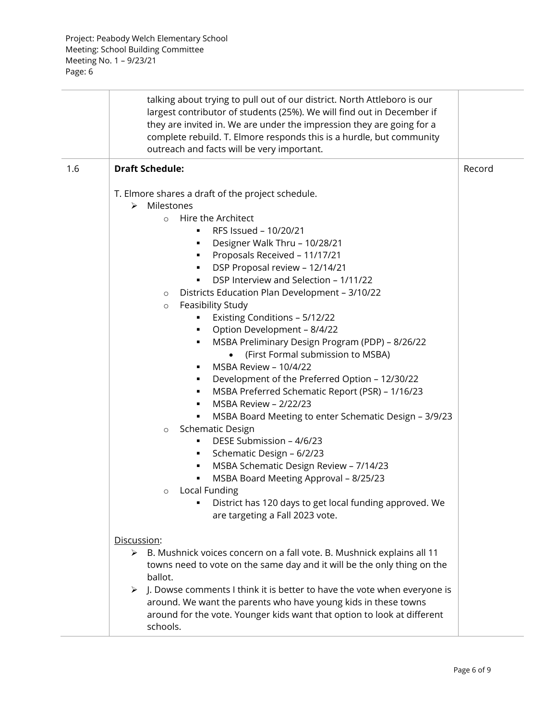|     | talking about trying to pull out of our district. North Attleboro is our<br>largest contributor of students (25%). We will find out in December if<br>they are invited in. We are under the impression they are going for a<br>complete rebuild. T. Elmore responds this is a hurdle, but community<br>outreach and facts will be very important.                                                                                                                                                                                                                                                                                                                                                                                                                                                                                                                                                                                                                                                                                                                                                                                       |        |
|-----|-----------------------------------------------------------------------------------------------------------------------------------------------------------------------------------------------------------------------------------------------------------------------------------------------------------------------------------------------------------------------------------------------------------------------------------------------------------------------------------------------------------------------------------------------------------------------------------------------------------------------------------------------------------------------------------------------------------------------------------------------------------------------------------------------------------------------------------------------------------------------------------------------------------------------------------------------------------------------------------------------------------------------------------------------------------------------------------------------------------------------------------------|--------|
| 1.6 | <b>Draft Schedule:</b>                                                                                                                                                                                                                                                                                                                                                                                                                                                                                                                                                                                                                                                                                                                                                                                                                                                                                                                                                                                                                                                                                                                  | Record |
|     | T. Elmore shares a draft of the project schedule.<br>Milestones<br>➤<br>Hire the Architect<br>$\circ$<br>RFS Issued - 10/20/21<br>٠<br>Designer Walk Thru - 10/28/21<br>٠<br>Proposals Received - 11/17/21<br>٠<br>DSP Proposal review - 12/14/21<br>DSP Interview and Selection - 1/11/22<br>٠<br>Districts Education Plan Development - 3/10/22<br>$\circ$<br>Feasibility Study<br>$\circ$<br>Existing Conditions - 5/12/22<br>٠<br>Option Development - 8/4/22<br>٠<br>MSBA Preliminary Design Program (PDP) - 8/26/22<br>٠<br>(First Formal submission to MSBA)<br>MSBA Review - 10/4/22<br>Development of the Preferred Option - 12/30/22<br>MSBA Preferred Schematic Report (PSR) - 1/16/23<br>٠<br>MSBA Review - 2/22/23<br>٠<br>MSBA Board Meeting to enter Schematic Design - 3/9/23<br>٠<br><b>Schematic Design</b><br>$\circ$<br>DESE Submission - 4/6/23<br>٠<br>Schematic Design - 6/2/23<br>٠<br>MSBA Schematic Design Review - 7/14/23<br>٠<br>MSBA Board Meeting Approval - 8/25/23<br>٠<br>Local Funding<br>$\circ$<br>District has 120 days to get local funding approved. We<br>٠<br>are targeting a Fall 2023 vote. |        |
|     | Discussion:<br>> B. Mushnick voices concern on a fall vote. B. Mushnick explains all 11<br>towns need to vote on the same day and it will be the only thing on the<br>ballot.<br>$\triangleright$ J. Dowse comments I think it is better to have the vote when everyone is<br>around. We want the parents who have young kids in these towns<br>around for the vote. Younger kids want that option to look at different<br>schools.                                                                                                                                                                                                                                                                                                                                                                                                                                                                                                                                                                                                                                                                                                     |        |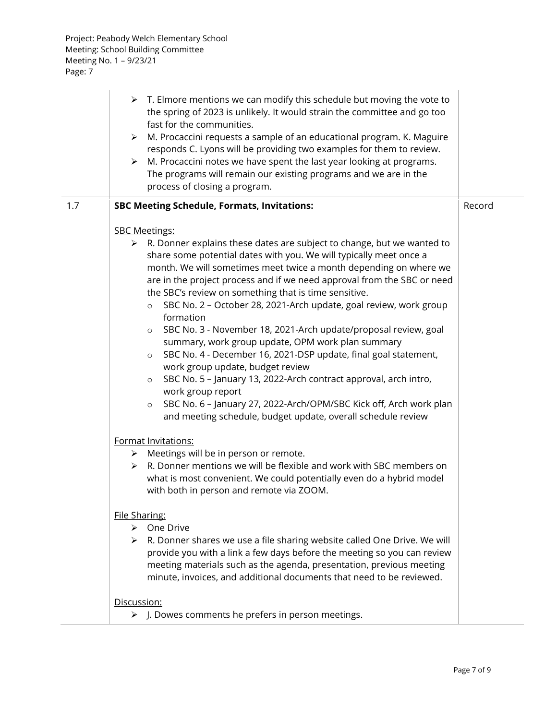|     | $\triangleright$ T. Elmore mentions we can modify this schedule but moving the vote to<br>the spring of 2023 is unlikely. It would strain the committee and go too<br>fast for the communities.<br>M. Procaccini requests a sample of an educational program. K. Maguire<br>➤                                                                                                                                                                                                                                                                                                                                                                                                                                                                                                                                                                                                                                                                                                                                                                                                                                                                                                                                               |        |
|-----|-----------------------------------------------------------------------------------------------------------------------------------------------------------------------------------------------------------------------------------------------------------------------------------------------------------------------------------------------------------------------------------------------------------------------------------------------------------------------------------------------------------------------------------------------------------------------------------------------------------------------------------------------------------------------------------------------------------------------------------------------------------------------------------------------------------------------------------------------------------------------------------------------------------------------------------------------------------------------------------------------------------------------------------------------------------------------------------------------------------------------------------------------------------------------------------------------------------------------------|--------|
|     | responds C. Lyons will be providing two examples for them to review.<br>M. Procaccini notes we have spent the last year looking at programs.<br>➤<br>The programs will remain our existing programs and we are in the<br>process of closing a program.                                                                                                                                                                                                                                                                                                                                                                                                                                                                                                                                                                                                                                                                                                                                                                                                                                                                                                                                                                      |        |
| 1.7 | <b>SBC Meeting Schedule, Formats, Invitations:</b>                                                                                                                                                                                                                                                                                                                                                                                                                                                                                                                                                                                                                                                                                                                                                                                                                                                                                                                                                                                                                                                                                                                                                                          | Record |
|     | <b>SBC Meetings:</b><br>$\triangleright$ R. Donner explains these dates are subject to change, but we wanted to<br>share some potential dates with you. We will typically meet once a<br>month. We will sometimes meet twice a month depending on where we<br>are in the project process and if we need approval from the SBC or need<br>the SBC's review on something that is time sensitive.<br>SBC No. 2 - October 28, 2021-Arch update, goal review, work group<br>$\circ$<br>formation<br>SBC No. 3 - November 18, 2021-Arch update/proposal review, goal<br>$\circ$<br>summary, work group update, OPM work plan summary<br>SBC No. 4 - December 16, 2021-DSP update, final goal statement,<br>$\circ$<br>work group update, budget review<br>SBC No. 5 - January 13, 2022-Arch contract approval, arch intro,<br>$\circ$<br>work group report<br>SBC No. 6 - January 27, 2022-Arch/OPM/SBC Kick off, Arch work plan<br>$\circ$<br>and meeting schedule, budget update, overall schedule review<br>Format Invitations:<br>> Meetings will be in person or remote.<br>R. Donner mentions we will be flexible and work with SBC members on<br>➤<br>what is most convenient. We could potentially even do a hybrid model |        |
|     | with both in person and remote via ZOOM.<br>File Sharing:<br>$\triangleright$ One Drive<br>> R. Donner shares we use a file sharing website called One Drive. We will<br>provide you with a link a few days before the meeting so you can review<br>meeting materials such as the agenda, presentation, previous meeting                                                                                                                                                                                                                                                                                                                                                                                                                                                                                                                                                                                                                                                                                                                                                                                                                                                                                                    |        |
|     | minute, invoices, and additional documents that need to be reviewed.<br>Discussion:<br>> J. Dowes comments he prefers in person meetings.                                                                                                                                                                                                                                                                                                                                                                                                                                                                                                                                                                                                                                                                                                                                                                                                                                                                                                                                                                                                                                                                                   |        |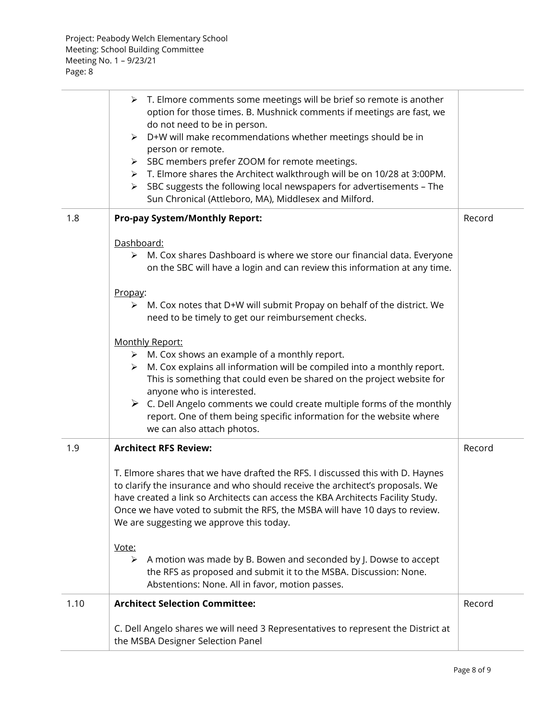|      | > T. Elmore comments some meetings will be brief so remote is another<br>option for those times. B. Mushnick comments if meetings are fast, we<br>do not need to be in person.<br>> D+W will make recommendations whether meetings should be in<br>person or remote.<br>SBC members prefer ZOOM for remote meetings.<br>≻<br>> T. Elmore shares the Architect walkthrough will be on 10/28 at 3:00PM.<br>SBC suggests the following local newspapers for advertisements - The<br>≻<br>Sun Chronical (Attleboro, MA), Middlesex and Milford. |        |
|------|---------------------------------------------------------------------------------------------------------------------------------------------------------------------------------------------------------------------------------------------------------------------------------------------------------------------------------------------------------------------------------------------------------------------------------------------------------------------------------------------------------------------------------------------|--------|
| 1.8  | <b>Pro-pay System/Monthly Report:</b>                                                                                                                                                                                                                                                                                                                                                                                                                                                                                                       | Record |
|      | Dashboard:<br>M. Cox shares Dashboard is where we store our financial data. Everyone<br>➤<br>on the SBC will have a login and can review this information at any time.                                                                                                                                                                                                                                                                                                                                                                      |        |
|      | Propay:<br>M. Cox notes that D+W will submit Propay on behalf of the district. We<br>➤<br>need to be timely to get our reimbursement checks.                                                                                                                                                                                                                                                                                                                                                                                                |        |
|      | Monthly Report:<br>$\triangleright$ M. Cox shows an example of a monthly report.<br>M. Cox explains all information will be compiled into a monthly report.<br>$\blacktriangleright$<br>This is something that could even be shared on the project website for<br>anyone who is interested.<br>$\triangleright$ C. Dell Angelo comments we could create multiple forms of the monthly<br>report. One of them being specific information for the website where<br>we can also attach photos.                                                 |        |
| 1.9  | <b>Architect RFS Review:</b>                                                                                                                                                                                                                                                                                                                                                                                                                                                                                                                | Record |
|      | T. Elmore shares that we have drafted the RFS. I discussed this with D. Haynes<br>to clarify the insurance and who should receive the architect's proposals. We<br>have created a link so Architects can access the KBA Architects Facility Study.<br>Once we have voted to submit the RFS, the MSBA will have 10 days to review.<br>We are suggesting we approve this today.                                                                                                                                                               |        |
|      | Vote:<br>A motion was made by B. Bowen and seconded by J. Dowse to accept<br>➤<br>the RFS as proposed and submit it to the MSBA. Discussion: None.<br>Abstentions: None. All in favor, motion passes.                                                                                                                                                                                                                                                                                                                                       |        |
| 1.10 | <b>Architect Selection Committee:</b>                                                                                                                                                                                                                                                                                                                                                                                                                                                                                                       | Record |
|      | C. Dell Angelo shares we will need 3 Representatives to represent the District at<br>the MSBA Designer Selection Panel                                                                                                                                                                                                                                                                                                                                                                                                                      |        |